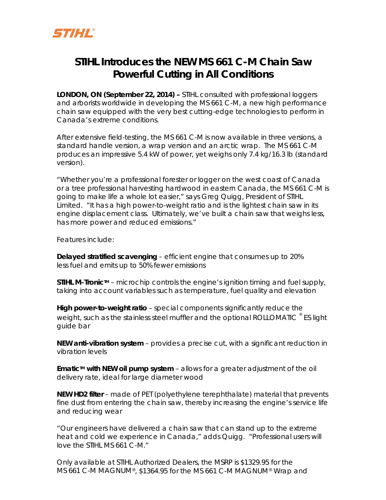

## **STIHL Introduces the NEW MS 661 C-M Chain Saw Powerful Cutting in All Conditions**

**LONDON, ON (September 22, 2014) –** STIHL consulted with professional loggers and arborists worldwide in developing the MS 661 C-M, a new high performance chain saw equipped with the very best cutting-edge technologies to perform in Canada's extreme conditions.

After extensive field-testing, the MS 661 C-M is now available in three versions, a standard handle version, a wrap version and an arctic wrap. The MS 661 C-M produces an impressive 5.4 kW of power, yet weighs only 7.4 kg/16.3 lb (standard version).

"Whether you're a professional forester or logger on the west coast of Canada or a tree professional harvesting hardwood in eastern Canada, the MS 661 C-M is going to make life a whole lot easier," says Greg Quigg, President of STIHL Limited. "It has a high power-to-weight ratio and is the lightest chain saw in its engine displacement class. Ultimately, we've built a chain saw that weighs less, has more power and reduced emissions."

Features include:

**Delayed stratified scavenging** – efficient engine that consumes up to 20% less fuel and emits up to 50% fewer emissions

**STIHL M-Tronic** $M -$  microchip controls the engine's ignition timing and fuel supply, taking into account variables such as temperature, fuel quality and elevation

**High power-to-weight ratio** – special components significantly reduce the weight, such as the stainless steel muffler and the optional ROLLOMATIC  $\degree$  ES light guide bar

**NEW anti-vibration system** – provides a precise cut, with a significant reduction in vibration levels

**Ematic<sup>TM</sup>** with NEW oil pump system – allows for a greater adjustment of the oil delivery rate, ideal for large diameter wood

**NEW HD2 filter** – made of PET (polyethylene terephthalate) material that prevents fine dust from entering the chain saw, thereby increasing the engine's service life and reducing wear

"Our engineers have delivered a chain saw that can stand up to the extreme heat and cold we experience in Canada," adds Quigg. "Professional users will love the STIHL MS 661 C-M."

Only available at STIHL Authorized Dealers, the MSRP is \$1329.95 for the MS 661 C-M MAGNUM®, \$1364.95 for the MS 661 C-M MAGNUM® Wrap and